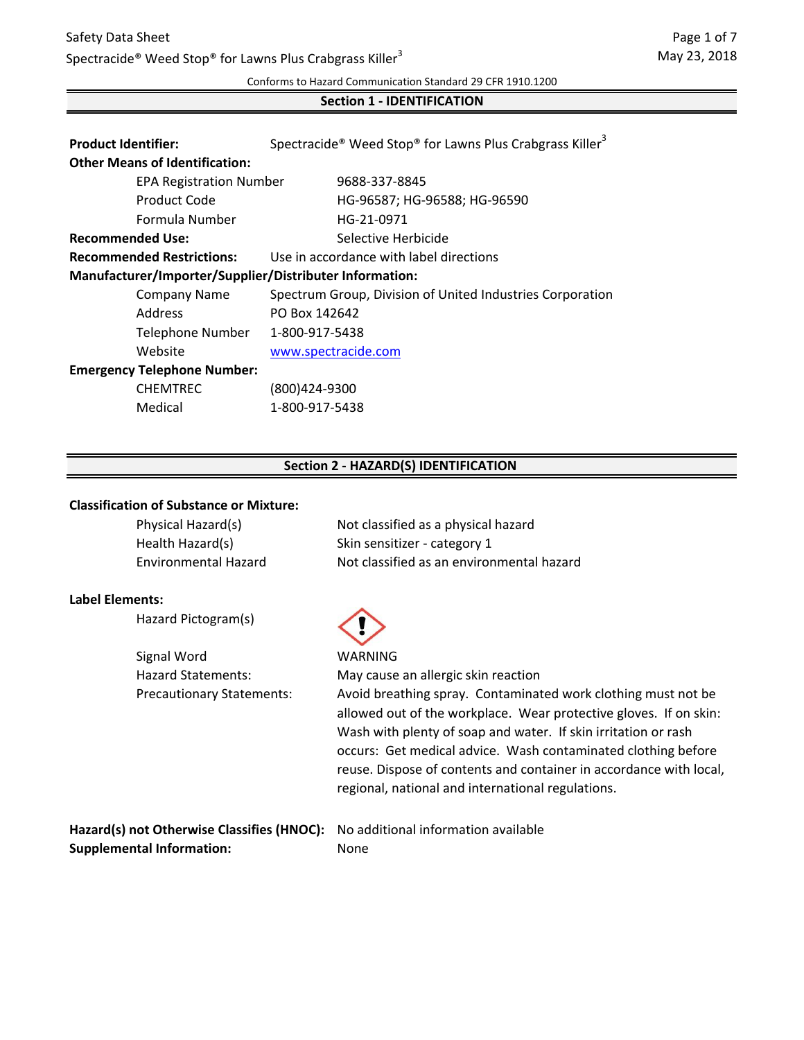# Safety Data Sheet Spectracide<sup>®</sup> Weed Stop<sup>®</sup> for Lawns Plus Crabgrass Killer<sup>3</sup>

Conforms to Hazard Communication Standard 29 CFR 1910.1200

#### **Section 1 - IDENTIFICATION**

| <b>Product Identifier:</b>                              | Spectracide <sup>®</sup> Weed Stop <sup>®</sup> for Lawns Plus Crabgrass Killer <sup>3</sup> |  |
|---------------------------------------------------------|----------------------------------------------------------------------------------------------|--|
| <b>Other Means of Identification:</b>                   |                                                                                              |  |
| <b>EPA Registration Number</b>                          | 9688-337-8845                                                                                |  |
| Product Code                                            | HG-96587; HG-96588; HG-96590                                                                 |  |
| Formula Number                                          | HG-21-0971                                                                                   |  |
| <b>Recommended Use:</b>                                 | Selective Herbicide                                                                          |  |
| <b>Recommended Restrictions:</b>                        | Use in accordance with label directions                                                      |  |
| Manufacturer/Importer/Supplier/Distributer Information: |                                                                                              |  |
| <b>Company Name</b>                                     | Spectrum Group, Division of United Industries Corporation                                    |  |
| <b>Address</b>                                          | PO Box 142642                                                                                |  |
| Telephone Number                                        | 1-800-917-5438                                                                               |  |
| Website                                                 | www.spectracide.com                                                                          |  |
| <b>Emergency Telephone Number:</b>                      |                                                                                              |  |
| <b>CHEMTREC</b>                                         | (800)424-9300                                                                                |  |
| Medical                                                 | 1-800-917-5438                                                                               |  |

### **Section 2 - HAZARD(S) IDENTIFICATION**

#### **Classification of Substance or Mixture:**

| Physical Hazard(s)          | Not classified as a physical hazard       |
|-----------------------------|-------------------------------------------|
| Health Hazard(s)            | Skin sensitizer - category 1              |
| <b>Environmental Hazard</b> | Not classified as an environmental hazard |

#### **Label Elements:**

|  | Hazard Pictogram(s) |  |
|--|---------------------|--|
|--|---------------------|--|

Signal Word WARNING Hazard Statements:

May cause an allergic skin reaction Precautionary Statements: Avoid breathing spray. Contaminated work clothing must not be allowed out of the workplace. Wear protective gloves. If on skin: Wash with plenty of soap and water. If skin irritation or rash occurs: Get medical advice. Wash contaminated clothing before reuse. Dispose of contents and container in accordance with local, regional, national and international regulations.

**Hazard(s) not Otherwise Classifies (HNOC):** No additional information available **Supplemental Information:** None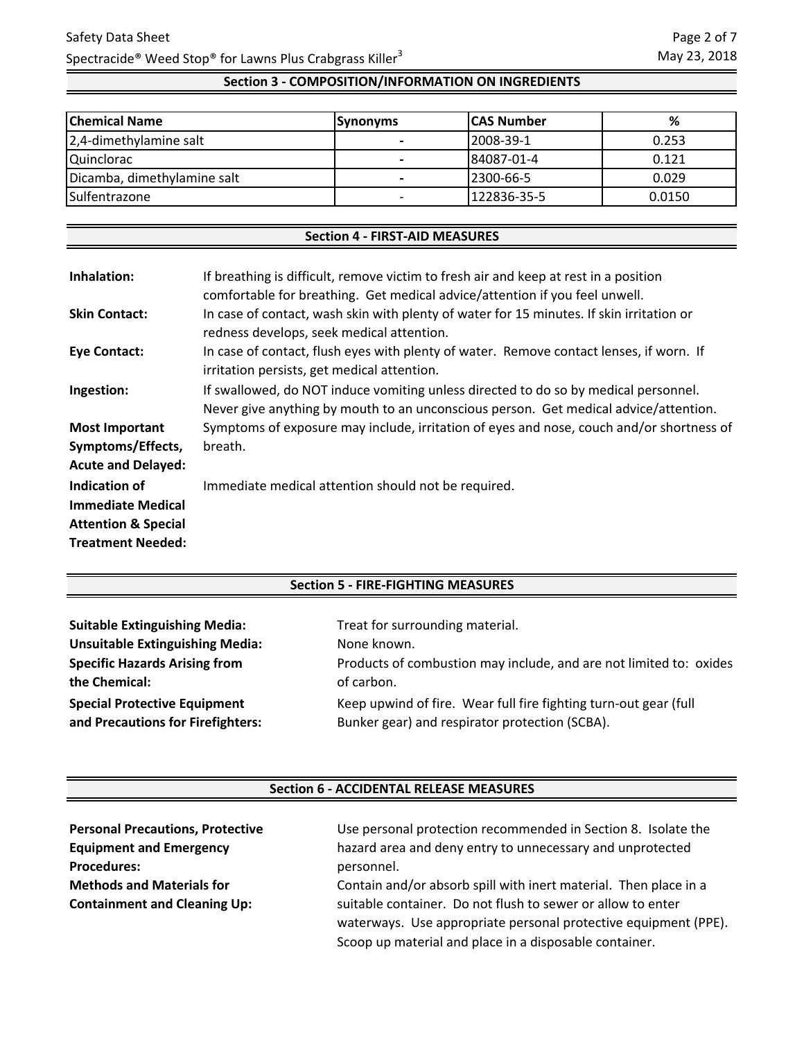# **Section 3 - COMPOSITION/INFORMATION ON INGREDIENTS**

| <b>Chemical Name</b>        | <b>Synonyms</b> | <b>ICAS Number</b> | %      |
|-----------------------------|-----------------|--------------------|--------|
| 2,4-dimethylamine salt      |                 | 2008-39-1          | 0.253  |
| <b>Quinclorac</b>           | -               | 84087-01-4         | 0.121  |
| Dicamba, dimethylamine salt |                 | 12300-66-5         | 0.029  |
| Sulfentrazone               |                 | 122836-35-5        | 0.0150 |

### **Section 4 - FIRST-AID MEASURES**

| Inhalation:                    | If breathing is difficult, remove victim to fresh air and keep at rest in a position<br>comfortable for breathing. Get medical advice/attention if you feel unwell.         |
|--------------------------------|-----------------------------------------------------------------------------------------------------------------------------------------------------------------------------|
| <b>Skin Contact:</b>           | In case of contact, wash skin with plenty of water for 15 minutes. If skin irritation or<br>redness develops, seek medical attention.                                       |
| <b>Eye Contact:</b>            | In case of contact, flush eyes with plenty of water. Remove contact lenses, if worn. If<br>irritation persists, get medical attention.                                      |
| Ingestion:                     | If swallowed, do NOT induce vomiting unless directed to do so by medical personnel.<br>Never give anything by mouth to an unconscious person. Get medical advice/attention. |
| <b>Most Important</b>          | Symptoms of exposure may include, irritation of eyes and nose, couch and/or shortness of                                                                                    |
| Symptoms/Effects,              | breath.                                                                                                                                                                     |
| <b>Acute and Delayed:</b>      |                                                                                                                                                                             |
| Indication of                  | Immediate medical attention should not be required.                                                                                                                         |
| <b>Immediate Medical</b>       |                                                                                                                                                                             |
| <b>Attention &amp; Special</b> |                                                                                                                                                                             |
| <b>Treatment Needed:</b>       |                                                                                                                                                                             |

## **Section 5 - FIRE-FIGHTING MEASURES**

| <b>Suitable Extinguishing Media:</b>   | Treat for surrounding material.                                    |
|----------------------------------------|--------------------------------------------------------------------|
| <b>Unsuitable Extinguishing Media:</b> | None known.                                                        |
| <b>Specific Hazards Arising from</b>   | Products of combustion may include, and are not limited to: oxides |
| the Chemical:                          | of carbon.                                                         |
| <b>Special Protective Equipment</b>    | Keep upwind of fire. Wear full fire fighting turn-out gear (full   |
| and Precautions for Firefighters:      | Bunker gear) and respirator protection (SCBA).                     |

#### **Section 6 - ACCIDENTAL RELEASE MEASURES**

| <b>Personal Precautions, Protective</b> | Use personal protection recommended in Section 8. Isolate the    |
|-----------------------------------------|------------------------------------------------------------------|
| <b>Equipment and Emergency</b>          | hazard area and deny entry to unnecessary and unprotected        |
| <b>Procedures:</b>                      | personnel.                                                       |
| <b>Methods and Materials for</b>        | Contain and/or absorb spill with inert material. Then place in a |
| <b>Containment and Cleaning Up:</b>     | suitable container. Do not flush to sewer or allow to enter      |
|                                         | waterways. Use appropriate personal protective equipment (PPE).  |
|                                         | Scoop up material and place in a disposable container.           |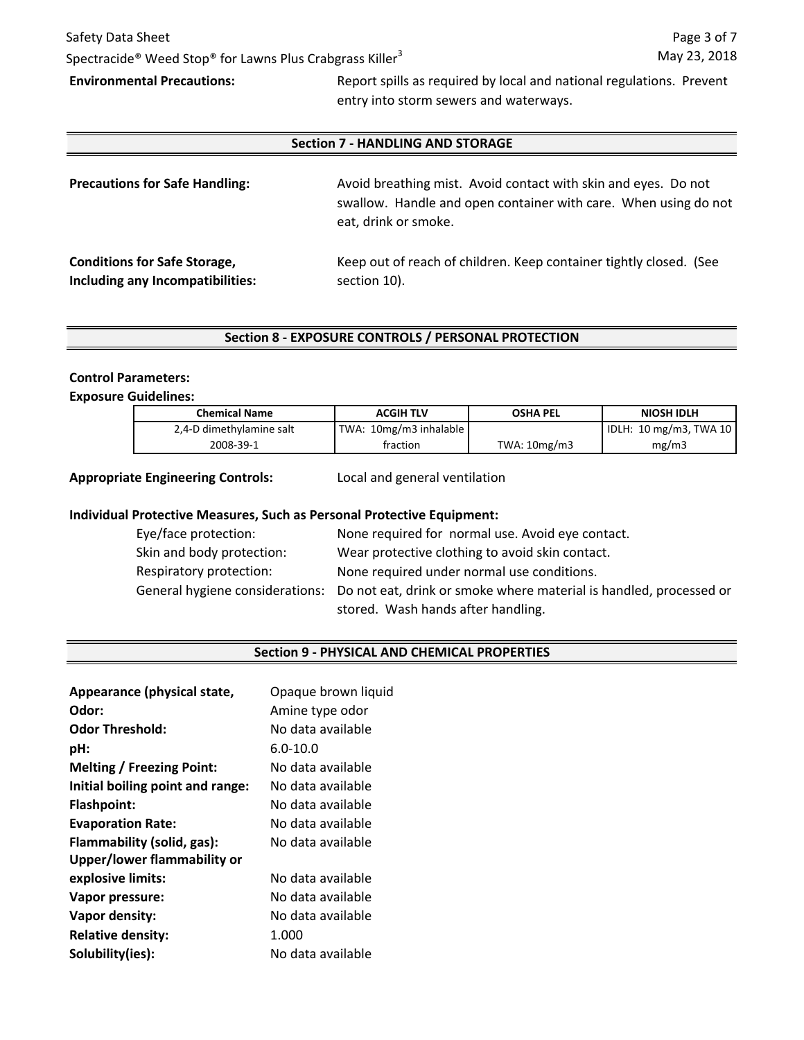# Safety Data Sheet Spectracide<sup>®</sup> Weed Stop<sup>®</sup> for Lawns Plus Crabgrass Killer<sup>3</sup>

**Environmental Precautions:** Report spills as required by local and national regulations. Prevent entry into storm sewers and waterways.

### **Section 7 - HANDLING AND STORAGE**

| <b>Precautions for Safe Handling:</b> | Avoid breathing mist. Avoid contact with skin and eyes. Do not<br>swallow. Handle and open container with care. When using do not<br>eat, drink or smoke. |  |
|---------------------------------------|-----------------------------------------------------------------------------------------------------------------------------------------------------------|--|
| <b>Conditions for Safe Storage,</b>   | Keep out of reach of children. Keep container tightly closed. (See                                                                                        |  |
| Including any Incompatibilities:      | section 10).                                                                                                                                              |  |

## **Section 8 - EXPOSURE CONTROLS / PERSONAL PROTECTION**

#### **Control Parameters:**

### **Exposure Guidelines:**

| <b>Chemical Name</b>     | <b>ACGIH TLV</b>       | <b>OSHA PEL</b>    | NIOSH IDLH             |
|--------------------------|------------------------|--------------------|------------------------|
| 2,4-D dimethylamine salt | TWA: 10mg/m3 inhalable |                    | IDLH: 10 mg/m3, TWA 10 |
| 2008-39-1                | fraction               | TWA: $10$ mg/m $3$ | mg/m3                  |

#### **Appropriate Engineering Controls:**

Local and general ventilation

### **Individual Protective Measures, Such as Personal Protective Equipment:**

| Eye/face protection:      | None required for normal use. Avoid eye contact.                                                   |
|---------------------------|----------------------------------------------------------------------------------------------------|
| Skin and body protection: | Wear protective clothing to avoid skin contact.                                                    |
| Respiratory protection:   | None required under normal use conditions.                                                         |
|                           | General hygiene considerations: Do not eat, drink or smoke where material is handled, processed or |
|                           | stored. Wash hands after handling.                                                                 |

#### **Section 9 - PHYSICAL AND CHEMICAL PROPERTIES**

| Appearance (physical state,      | Opaque brown liquid |
|----------------------------------|---------------------|
| Odor:                            | Amine type odor     |
| <b>Odor Threshold:</b>           | No data available   |
| pH:                              | $6.0 - 10.0$        |
| <b>Melting / Freezing Point:</b> | No data available   |
| Initial boiling point and range: | No data available.  |
| <b>Flashpoint:</b>               | No data available   |
| <b>Evaporation Rate:</b>         | No data available   |
| Flammability (solid, gas):       | No data available   |
| Upper/lower flammability or      |                     |
| explosive limits:                | No data available   |
| <b>Vapor pressure:</b>           | No data available   |
| Vapor density:                   | No data available   |
| <b>Relative density:</b>         | 1.000               |
| Solubility(ies):                 | No data available   |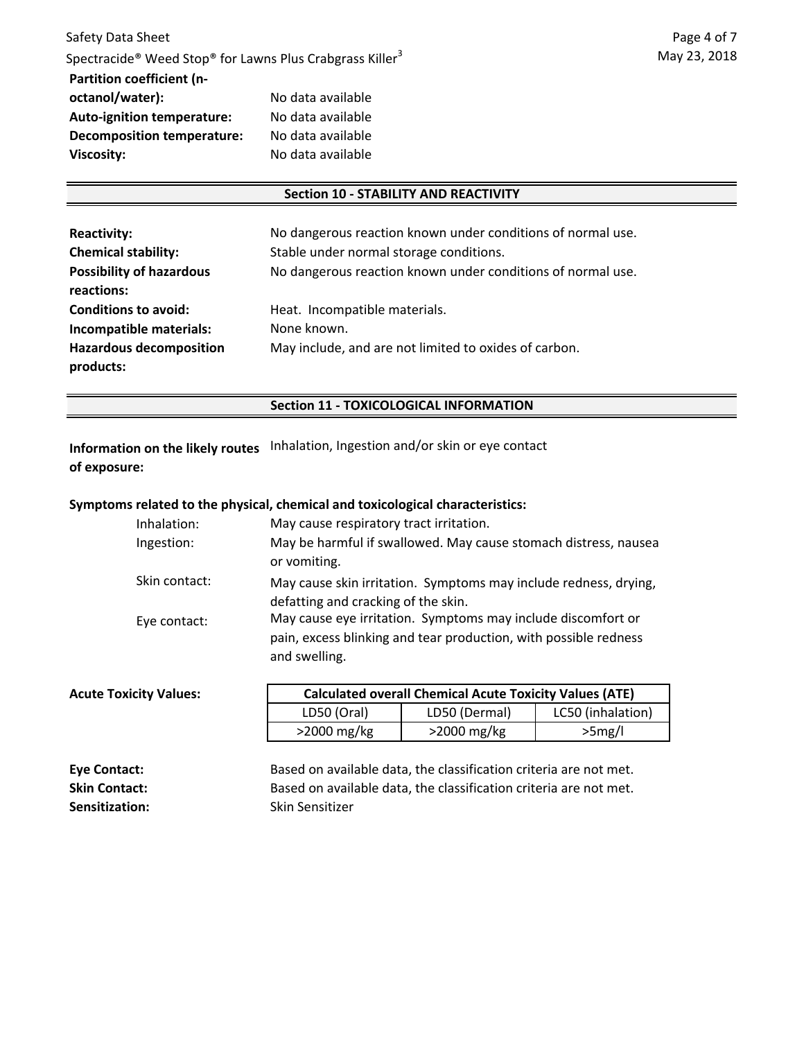#### **Section 10 - STABILITY AND REACTIVITY**

| <b>Reactivity:</b><br><b>Chemical stability:</b> | No dangerous reaction known under conditions of normal use.<br>Stable under normal storage conditions. |
|--------------------------------------------------|--------------------------------------------------------------------------------------------------------|
| <b>Possibility of hazardous</b>                  | No dangerous reaction known under conditions of normal use.                                            |
| reactions:                                       |                                                                                                        |
| <b>Conditions to avoid:</b>                      | Heat. Incompatible materials.                                                                          |
| Incompatible materials:                          | None known.                                                                                            |
| <b>Hazardous decomposition</b><br>products:      | May include, and are not limited to oxides of carbon.                                                  |

#### **Section 11 - TOXICOLOGICAL INFORMATION**

**Information on the likely routes** Inhalation, Ingestion and/or skin or eye contact **of exposure:**

#### **Symptoms related to the physical, chemical and toxicological characteristics:**

| Inhalation:   | May cause respiratory tract irritation.                                                                                                           |
|---------------|---------------------------------------------------------------------------------------------------------------------------------------------------|
| Ingestion:    | May be harmful if swallowed. May cause stomach distress, nausea<br>or vomiting.                                                                   |
| Skin contact: | May cause skin irritation. Symptoms may include redness, drying,<br>defatting and cracking of the skin.                                           |
| Eye contact:  | May cause eye irritation. Symptoms may include discomfort or<br>pain, excess blinking and tear production, with possible redness<br>and swelling. |

| <b>Acute Toxicity Values:</b> | <b>Calculated overall Chemical Acute Toxicity Values (ATE)</b> |                |                   |
|-------------------------------|----------------------------------------------------------------|----------------|-------------------|
|                               | LD50 (Oral)                                                    | LD50 (Dermal)  | LC50 (inhalation) |
|                               | $>$ 2000 mg/kg                                                 | $>$ 2000 mg/kg | >5mg/l            |

| Eye Contact:          | Based on available data, the classification criteria are not met. |
|-----------------------|-------------------------------------------------------------------|
| <b>Skin Contact:</b>  | Based on available data, the classification criteria are not met. |
| <b>Sensitization:</b> | Skin Sensitizer                                                   |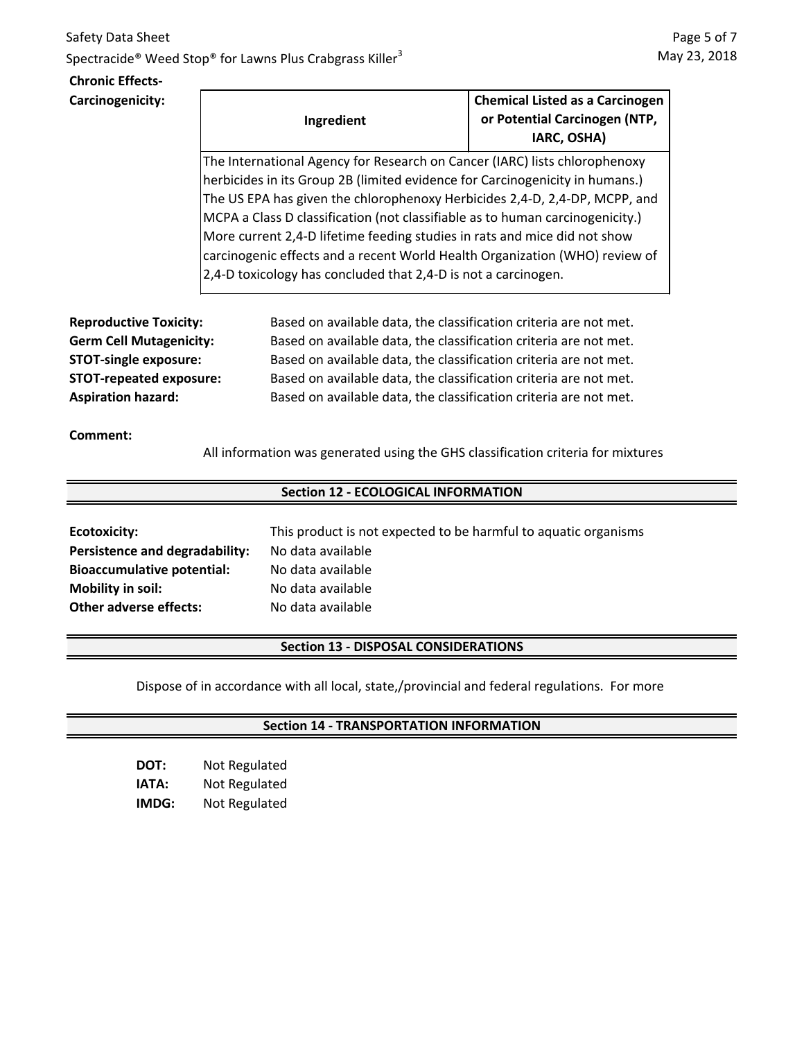# Safety Data Sheet Spectracide<sup>®</sup> Weed Stop<sup>®</sup> for Lawns Plus Crabgrass Killer<sup>3</sup>

## **Chronic Effects-Carcinogenicity:**

| Ingredient                                                                    | <b>Chemical Listed as a Carcinogen</b><br>or Potential Carcinogen (NTP,<br>IARC, OSHA) |  |
|-------------------------------------------------------------------------------|----------------------------------------------------------------------------------------|--|
| The International Agency for Research on Cancer (IARC) lists chlorophenoxy    |                                                                                        |  |
| herbicides in its Group 2B (limited evidence for Carcinogenicity in humans.)  |                                                                                        |  |
| The US EPA has given the chlorophenoxy Herbicides 2,4-D, 2,4-DP, MCPP, and    |                                                                                        |  |
| MCPA a Class D classification (not classifiable as to human carcinogenicity.) |                                                                                        |  |
| More current 2,4-D lifetime feeding studies in rats and mice did not show     |                                                                                        |  |
| carcinogenic effects and a recent World Health Organization (WHO) review of   |                                                                                        |  |
| 2,4-D toxicology has concluded that 2,4-D is not a carcinogen.                |                                                                                        |  |

**Reproductive Toxicity: Germ Cell Mutagenicity: STOT-single exposure: STOT-repeated exposure: Aspiration hazard:**

Based on available data, the classification criteria are not met. Based on available data, the classification criteria are not met. Based on available data, the classification criteria are not met. Based on available data, the classification criteria are not met. Based on available data, the classification criteria are not met.

# **Comment:**

All information was generated using the GHS classification criteria for mixtures

# **Section 12 - ECOLOGICAL INFORMATION**

| Ecotoxicity:                      | This prod |
|-----------------------------------|-----------|
| Persistence and degradability:    | No data a |
| <b>Bioaccumulative potential:</b> | No data a |
| <b>Mobility in soil:</b>          | No data a |
| <b>Other adverse effects:</b>     | No data a |

luct is not expected to be harmful to aquatic organisms **Persistence and degradability:** No data available available available available

# **Section 13 - DISPOSAL CONSIDERATIONS**

Dispose of in accordance with all local, state,/provincial and federal regulations. For more

# **Section 14 - TRANSPORTATION INFORMATION**

| DOT:  | Not Regulated |
|-------|---------------|
| ΙΑΤΑ: | Not Regulated |
| IMDG: | Not Regulated |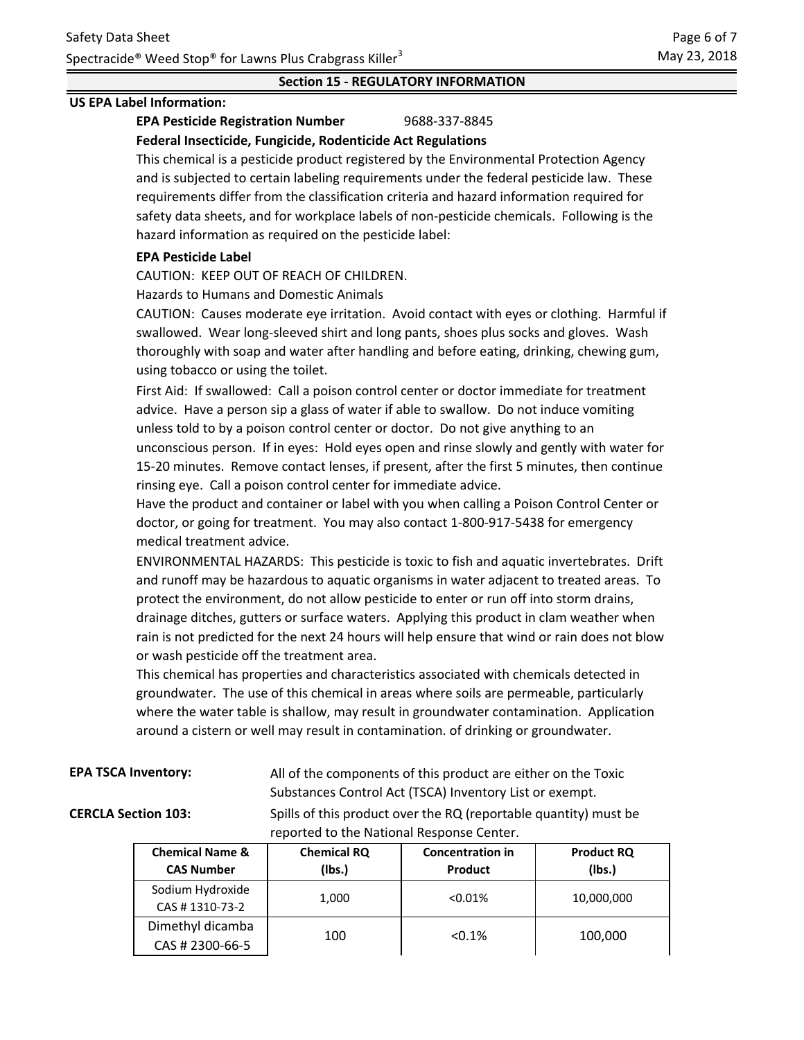# **Section 15 - REGULATORY INFORMATION**

#### **US EPA Label Information:**

#### **EPA Pesticide Registration Number** 9688-337-8845 **Federal Insecticide, Fungicide, Rodenticide Act Regulations**

This chemical is a pesticide product registered by the Environmental Protection Agency and is subjected to certain labeling requirements under the federal pesticide law. These requirements differ from the classification criteria and hazard information required for safety data sheets, and for workplace labels of non-pesticide chemicals. Following is the hazard information as required on the pesticide label:

#### **EPA Pesticide Label**

CAUTION: KEEP OUT OF REACH OF CHILDREN.

Hazards to Humans and Domestic Animals

CAUTION: Causes moderate eye irritation. Avoid contact with eyes or clothing. Harmful if swallowed. Wear long-sleeved shirt and long pants, shoes plus socks and gloves. Wash thoroughly with soap and water after handling and before eating, drinking, chewing gum, using tobacco or using the toilet.

First Aid: If swallowed: Call a poison control center or doctor immediate for treatment advice. Have a person sip a glass of water if able to swallow. Do not induce vomiting unless told to by a poison control center or doctor. Do not give anything to an unconscious person. If in eyes: Hold eyes open and rinse slowly and gently with water for 15-20 minutes. Remove contact lenses, if present, after the first 5 minutes, then continue rinsing eye. Call a poison control center for immediate advice.

Have the product and container or label with you when calling a Poison Control Center or doctor, or going for treatment. You may also contact 1-800-917-5438 for emergency medical treatment advice.

ENVIRONMENTAL HAZARDS: This pesticide is toxic to fish and aquatic invertebrates. Drift and runoff may be hazardous to aquatic organisms in water adjacent to treated areas. To protect the environment, do not allow pesticide to enter or run off into storm drains, drainage ditches, gutters or surface waters. Applying this product in clam weather when rain is not predicted for the next 24 hours will help ensure that wind or rain does not blow or wash pesticide off the treatment area.

This chemical has properties and characteristics associated with chemicals detected in groundwater. The use of this chemical in areas where soils are permeable, particularly where the water table is shallow, may result in groundwater contamination. Application around a cistern or well may result in contamination. of drinking or groundwater.

|  |  | <b>EPA TSCA Inventory:</b> |  |
|--|--|----------------------------|--|
|--|--|----------------------------|--|

All of the components of this product are either on the Toxic Substances Control Act (TSCA) Inventory List or exempt.

**CERCLA Section 103:** Spills of this product over the RQ (reportable quantity) must be reported to the National Response Center.

| <b>Chemical Name &amp;</b><br><b>CAS Number</b> | <b>Chemical RQ</b><br>(lbs.) | <b>Concentration in</b><br>Product | <b>Product RQ</b><br>(Ibs.) |
|-------------------------------------------------|------------------------------|------------------------------------|-----------------------------|
| Sodium Hydroxide<br>CAS #1310-73-2              | 1,000                        | $< 0.01\%$                         | 10,000,000                  |
| Dimethyl dicamba<br>CAS # 2300-66-5             | 100                          | < 0.1%                             | 100,000                     |